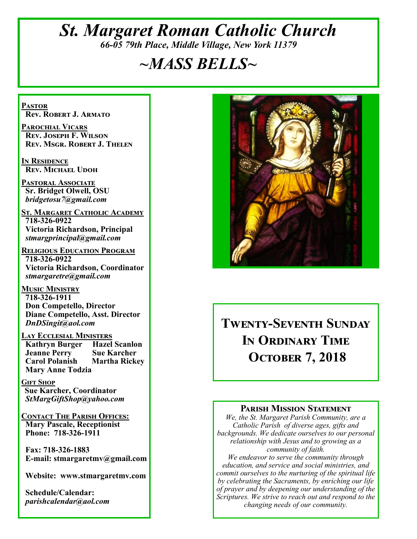# *St. Margaret Roman Catholic Church 66-05 79th Place, Middle Village, New York 11379*

# *~MASS BELLS~*

**Pastor Rev. Robert J. Armato**

**Parochial Vicars Rev. Joseph F. Wilson Rev. Msgr. Robert J. Thelen**

**In Residence Rev. Michael Udoh**

**Pastoral Associate Sr. Bridget Olwell, OSU**  *bridgetosu7@gmail.com*

**St. Margaret Catholic Academy 718-326-0922 Victoria Richardson, Principal**  *stmargprincipal@gmail.com*

**Religious Education Program 718-326-0922 Victoria Richardson, Coordinator** *stmargaretre@gmail.com*

**Music Ministry 718-326-1911 Don Competello, Director Diane Competello, Asst. Director** *DnDSingit@aol.com*

**Lay Ecclesial Ministers Kathryn Burger Jeanne Perry Sue Karcher Carol Polanish Martha Rickey Mary Anne Todzia**

**Gift Shop Sue Karcher, Coordinator** *StMargGiftShop@yahoo.com*

**Contact The Parish Offices: Mary Pascale, Receptionist Phone: 718-326-1911** 

 **Fax: 718-326-1883 E-mail: stmargaretmv@gmail.com**

 **Website: www.stmargaretmv.com**

 **Schedule/Calendar:** *parishcalendar@aol.com* 



# **Twenty-Seventh Sunday In Ordinary Time October 7, 2018**

#### **Parish Mission Statement**

*We, the St. Margaret Parish Community, are a Catholic Parish of diverse ages, gifts and backgrounds. We dedicate ourselves to our personal relationship with Jesus and to growing as a community of faith.*

*We endeavor to serve the community through education, and service and social ministries, and commit ourselves to the nurturing of the spiritual life by celebrating the Sacraments, by enriching our life of prayer and by deepening our understanding of the Scriptures. We strive to reach out and respond to the changing needs of our community.*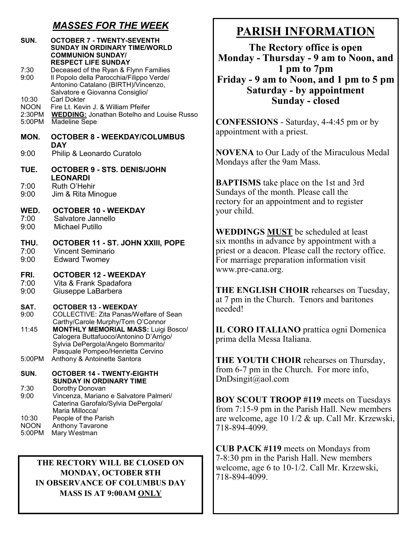# *MASSES FOR THE WEEK*

| SUN.<br>7:30<br>9:00                     | <b>OCTOBER 7 - TWENTY-SEVENTH</b><br><b>SUNDAY IN ORDINARY TIME/WORLD</b><br><b>COMMUNION SUNDAY/</b><br><b>RESPECT LIFE SUNDAY</b><br>Deceased of the Ryan & Flynn Families<br>Il Popolo della Parocchia/Filippo Verde/<br>Antonino Catalano (BIRTH)/Vincenzo, | N<br>$\mathbf{F}$         |
|------------------------------------------|-----------------------------------------------------------------------------------------------------------------------------------------------------------------------------------------------------------------------------------------------------------------|---------------------------|
| 10:30<br><b>NOON</b><br>2:30PM<br>5:00PM | Salvatore e Giovanna Consiglio/<br><b>Carl Dokter</b><br>Fire Lt. Kevin J. & William Pfeifer<br><b>WEDDING:</b> Jonathan Botelho and Louise Russo<br><b>Madeline Sepe</b>                                                                                       | $\bf C$                   |
| MON.                                     | <b>OCTOBER 8 - WEEKDAY/COLUMBUS</b><br><b>DAY</b>                                                                                                                                                                                                               | ap                        |
| 9:00                                     | Philip & Leonardo Curatolo                                                                                                                                                                                                                                      | N(                        |
| TUE.                                     | <b>OCTOBER 9 - STS. DENIS/JOHN</b>                                                                                                                                                                                                                              | M                         |
| 7:00<br>9:00                             | <b>LEONARDI</b><br>Ruth O'Hehir<br>Jim & Rita Minogue                                                                                                                                                                                                           | $\mathbf{B}$<br>Su<br>reo |
| WED.<br>7:00<br>9:00                     | <b>OCTOBER 10 - WEEKDAY</b><br>Salvatore Jannello<br><b>Michael Putillo</b>                                                                                                                                                                                     | yo<br>W                   |
| THU.<br>7:00<br>9:00                     | <b>OCTOBER 11 - ST. JOHN XXIII, POPE</b><br><b>Vincent Seminario</b><br><b>Edward Twomey</b>                                                                                                                                                                    | si<br>pri<br>Fo           |
| FRI.<br>7:00<br>9:00                     | <b>OCTOBER 12 - WEEKDAY</b><br>Vita & Frank Spadafora<br>Giuseppe LaBarbera                                                                                                                                                                                     | <b>WV</b><br>TI<br>at     |
| SAT.<br>9:00                             | <b>OCTOBER 13 - WEEKDAY</b><br>COLLECTIVE: Zita Panas/Welfare of Sean                                                                                                                                                                                           | ne                        |
| 11:45                                    | Carthy/Carole Murphy/Tom O'Connor<br><b>MONTHLY MEMORIAL MASS: Luigi Bosco/</b><br>Calogera Buttafuoco/Antonino D'Arrigo/<br>Sylvia DePergola/Angelo Bommarito/<br>Pasquale Pompeo/Henrietta Cervino                                                            | П<br>pr:                  |
| 5:00PM                                   | Anthony & Antoinette Santora                                                                                                                                                                                                                                    | TI                        |
| SUN.                                     | <b>OCTOBER 14 - TWENTY-EIGHTH</b><br><b>SUNDAY IN ORDINARY TIME</b>                                                                                                                                                                                             | fro<br>Dı                 |
| 7:30<br>9:00                             | Dorothy Donovan<br>Vincenza, Mariano e Salvatore Palmeri/<br>Caterina Garofalo/Sylvia DePergola/                                                                                                                                                                | B0<br>fro                 |
| 10:30<br><b>NOON</b><br>5:00PM           | Maria Millocca/<br>People of the Parish<br>Anthony Tavarone<br>Mary Westman                                                                                                                                                                                     | ar<br>71                  |

#### **THE RECTORY WILL BE CLOSED ON MONDAY, OCTOBER 8TH IN OBSERVANCE OF COLUMBUS DAY MASS IS AT 9:00AM ONLY**

# **PARISH INFORMATION**

**The Rectory office is open Monday - Thursday - 9 am to Noon, and 1 pm to 7pm Friday - 9 am to Noon, and 1 pm to 5 pm Saturday - by appointment Sunday - closed**

**CONFESSIONS** - Saturday, 4-4:45 pm or by appointment with a priest.

**NOVENA** to Our Lady of the Miraculous Medal ondays after the 9am Mass.

**BAPTISMS** take place on the 1st and 3rd Indays of the month. Please call the ctory for an appointment and to register ur child.

**WEDDINGS MUST** be scheduled at least six months in advance by appointment with a iest or a deacon. Please call the rectory office. r marriage preparation information visit www.pre-cana.org.

**THE ENGLISH CHOIR** rehearses on Tuesday, 7 pm in the Church. Tenors and baritones eded!

**CORO ITALIANO** prattica ogni Domenica ima della Messa Italiana.

**THE YOUTH CHOIR** rehearses on Thursday, om 6-7 pm in the Church. For more info,  $nD$ singit@aol.com

**BOY SCOUT TROOP #119** meets on Tuesdays  $5m$  7:15-9 pm in the Parish Hall. New members e welcome, age 10 1/2 & up. Call Mr. Krzewski, 8-894-4099.

**CUB PACK #119** meets on Mondays from 7-8:30 pm in the Parish Hall. New members welcome, age 6 to 10-1/2. Call Mr. Krzewski, 718-894-4099.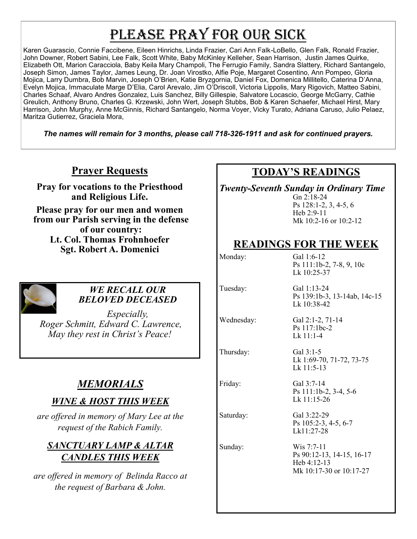# PLEASE PRAY FOR OUR SICK

Karen Guarascio, Connie Faccibene, Eileen Hinrichs, Linda Frazier, Cari Ann Falk-LoBello, Glen Falk, Ronald Frazier, John Downer, Robert Sabini, Lee Falk, Scott White, Baby McKinley Kelleher, Sean Harrison, Justin James Quirke, Elizabeth Ott, Marion Caracciola, Baby Keila Mary Champoli, The Ferrugio Family, Sandra Slattery, Richard Santangelo, Joseph Simon, James Taylor, James Leung, Dr. Joan Virostko, Alfie Poje, Margaret Cosentino, Ann Pompeo, Gloria Mojica, Larry Dumbra, Bob Marvin, Joseph O'Brien, Katie Bryzgornia, Daniel Fox, Domenica Millitello, Caterina D'Anna, Evelyn Mojica, Immaculate Marge D'Elia, Carol Arevalo, Jim O'Driscoll, Victoria Lippolis, Mary Rigovich, Matteo Sabini, Charles Schaaf, Alvaro Andres Gonzalez, Luis Sanchez, Billy Gillespie, Salvatore Locascio, George McGarry, Cathie Greulich, Anthony Bruno, Charles G. Krzewski, John Wert, Joseph Stubbs, Bob & Karen Schaefer, Michael Hirst, Mary Harrison, John Murphy, Anne McGinnis, Richard Santangelo, Norma Voyer, Vicky Turato, Adriana Caruso, Julio Pelaez, Maritza Gutierrez, Graciela Mora,

*The names will remain for 3 months, please call 718-326-1911 and ask for continued prayers.*

# **Prayer Requests**

**Pray for vocations to the Priesthood and Religious Life.** 

**Please pray for our men and women from our Parish serving in the defense of our country: Lt. Col. Thomas Frohnhoefer Sgt. Robert A. Domenici** 



#### *WE RECALL OUR BELOVED DECEASED*

*Especially, Roger Schmitt, Edward C. Lawrence, May they rest in Christ's Peace!*

# *MEMORIALS*

# *WINE & HOST THIS WEEK*

*are offered in memory of Mary Lee at the request of the Rabich Family.* 

# *SANCTUARY LAMP & ALTAR CANDLES THIS WEEK*

*are offered in memory of Belinda Racco at the request of Barbara & John.*

# **TODAY'S READINGS**

*Twenty-Seventh Sunday in Ordinary Time*

Gn 2:18-24 Ps 128:1-2, 3, 4-5, 6 Heb 2:9-11 Mk 10:2-16 or 10:2-12

# **READINGS FOR THE WEEK**

Lk 10:38-42

Ps 117:1bc-2 Lk 11:1-4

Monday: Gal 1:6-12 Ps 111:1b-2, 7-8, 9, 10c Lk 10:25-37

Ps 139:1b-3, 13-14ab, 14c-15

Tuesday: Gal 1:13-24

Wednesday: Gal 2:1-2, 71-14

Thursday: Gal 3:1-5

Lk 1:69-70, 71-72, 73-75 Lk 11:5-13

Friday: Gal 3:7-14 Ps 111:1b-2, 3-4, 5-6 Lk 11:15-26

Saturday: Gal 3:22-29 Ps 105:2-3, 4-5, 6-7 Lk11:27-28

Sunday: Wis 7:7-11 Ps 90:12-13, 14-15, 16-17 Heb 4:12-13 Mk 10:17-30 or 10:17-27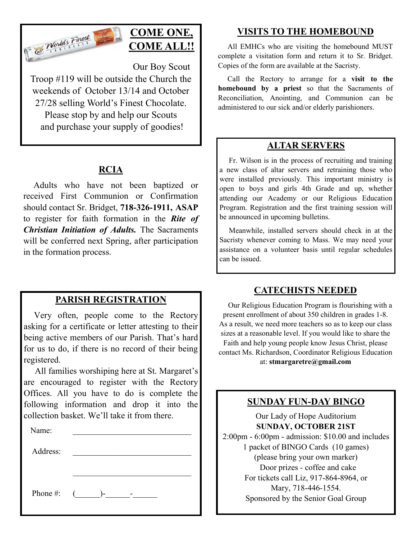

# **COME ONE, COME ALL!!**

Our Boy Scout

Troop #119 will be outside the Church the weekends of October 13/14 and October 27/28 selling World's Finest Chocolate. Please stop by and help our Scouts and purchase your supply of goodies!

# **RCIA**

 Adults who have not been baptized or received First Communion or Confirmation should contact Sr. Bridget, **718-326-1911, ASAP**  to register for faith formation in the *Rite of Christian Initiation of Adults.* The Sacraments will be conferred next Spring, after participation in the formation process.

## **PARISH REGISTRATION**

 Very often, people come to the Rectory asking for a certificate or letter attesting to their being active members of our Parish. That's hard for us to do, if there is no record of their being registered.

 All families worshiping here at St. Margaret's are encouraged to register with the Rectory Offices. All you have to do is complete the following information and drop it into the collection basket. We'll take it from there. Ĭ

| Name:    |                                      |
|----------|--------------------------------------|
| Address: |                                      |
|          |                                      |
|          |                                      |
|          | Phone #: $($ )-<br><b>Contractor</b> |

# **VISITS TO THE HOMEBOUND**

 All EMHCs who are visiting the homebound MUST complete a visitation form and return it to Sr. Bridget. Copies of the form are available at the Sacristy.

 Call the Rectory to arrange for a **visit to the homebound by a priest** so that the Sacraments of Reconciliation, Anointing, and Communion can be administered to our sick and/or elderly parishioners.

# **ALTAR SERVERS**

 Fr. Wilson is in the process of recruiting and training a new class of altar servers and retraining those who were installed previously. This important ministry is open to boys and girls 4th Grade and up, whether attending our Academy or our Religious Education Program. Registration and the first training session will be announced in upcoming bulletins.

 Meanwhile, installed servers should check in at the Sacristy whenever coming to Mass. We may need your assistance on a volunteer basis until regular schedules can be issued.

## **CATECHISTS NEEDED**

 Our Religious Education Program is flourishing with a present enrollment of about 350 children in grades 1-8. As a result, we need more teachers so as to keep our class sizes at a reasonable level. If you would like to share the Faith and help young people know Jesus Christ, please contact Ms. Richardson, Coordinator Religious Education at: **stmargaretre@gmail.com**

# **SUNDAY FUN-DAY BINGO**

Our Lady of Hope Auditorium **SUNDAY, OCTOBER 21ST** 2:00pm - 6:00pm - admission: \$10.00 and includes 1 packet of BINGO Cards (10 games) (please bring your own marker) Door prizes - coffee and cake For tickets call Liz, 917-864-8964, or Mary, 718-446-1554. Sponsored by the Senior Goal Group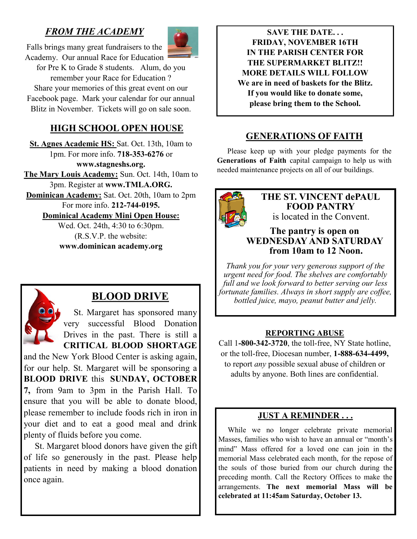# *FROM THE ACADEMY*



Falls brings many great fundraisers to the Academy. Our annual Race for Education

for Pre K to Grade 8 students. Alum, do you remember your Race for Education ? Share your memories of this great event on our Facebook page. Mark your calendar for our annual Blitz in November. Tickets will go on sale soon.

# **HIGH SCHOOL OPEN HOUSE**

**St. Agnes Academic HS:** Sat. Oct. 13th, 10am to 1pm. For more info. **718-353-6276** or **www.stagneshs.org. The Mary Louis Academy:** Sun. Oct. 14th, 10am to 3pm. Register at **www.TMLA.ORG. Dominican Academy:** Sat. Oct. 20th, 10am to 2pm For more info. **212-744-0195. Dominical Academy Mini Open House:**

> Wed. Oct. 24th, 4:30 to 6:30pm. (R.S.V.P. the website: **www.dominican academy.org**



# **BLOOD DRIVE**

 St. Margaret has sponsored many very successful Blood Donation Drives in the past. There is still a **CRITICAL BLOOD SHORTAGE**

and the New York Blood Center is asking again, for our help. St. Margaret will be sponsoring a **BLOOD DRIVE** this **SUNDAY, OCTOBER 7,** from 9am to 3pm in the Parish Hall. To ensure that you will be able to donate blood, please remember to include foods rich in iron in your diet and to eat a good meal and drink plenty of fluids before you come.

 St. Margaret blood donors have given the gift of life so generously in the past. Please help patients in need by making a blood donation once again.

**SAVE THE DATE. . . FRIDAY, NOVEMBER 16TH IN THE PARISH CENTER FOR THE SUPERMARKET BLITZ!! MORE DETAILS WILL FOLLOW We are in need of baskets for the Blitz. If you would like to donate some, please bring them to the School.**

## **GENERATIONS OF FAITH**

 Please keep up with your pledge payments for the **Generations of Faith** capital campaign to help us with needed maintenance projects on all of our buildings.



**THE ST. VINCENT dePAUL FOOD PANTRY** is located in the Convent.

#### **The pantry is open on WEDNESDAY AND SATURDAY from 10am to 12 Noon.**

*Thank you for your very generous support of the urgent need for food. The shelves are comfortably full and we look forward to better serving our less fortunate families. Always in short supply are coffee, bottled juice, mayo, peanut butter and jelly.*

#### **REPORTING ABUSE**

Call 1**-800-342-3720**, the toll-free, NY State hotline, or the toll-free, Diocesan number, **1-888-634-4499,**  to report *any* possible sexual abuse of children or adults by anyone. Both lines are confidential.

#### **JUST A REMINDER . . .**

 While we no longer celebrate private memorial Masses, families who wish to have an annual or "month's mind" Mass offered for a loved one can join in the memorial Mass celebrated each month, for the repose of the souls of those buried from our church during the preceding month. Call the Rectory Offices to make the arrangements. **The next memorial Mass will be celebrated at 11:45am Saturday, October 13.**